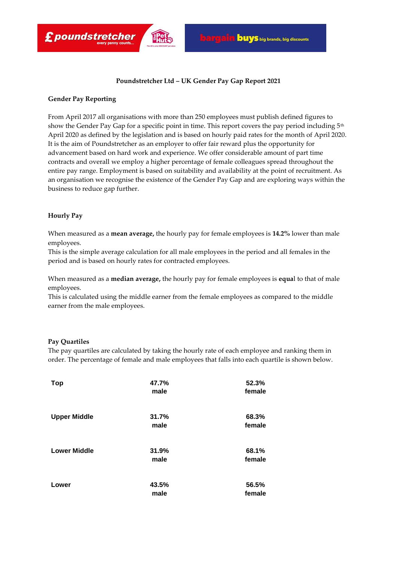

# **Poundstretcher Ltd – UK Gender Pay Gap Report 2021**

# **Gender Pay Reporting**

£ poundstretcher

From April 2017 all organisations with more than 250 employees must publish defined figures to show the Gender Pay Gap for a specific point in time. This report covers the pay period including 5<sup>th</sup> April 2020 as defined by the legislation and is based on hourly paid rates for the month of April 2020. It is the aim of Poundstretcher as an employer to offer fair reward plus the opportunity for advancement based on hard work and experience. We offer considerable amount of part time contracts and overall we employ a higher percentage of female colleagues spread throughout the entire pay range. Employment is based on suitability and availability at the point of recruitment. As an organisation we recognise the existence of the Gender Pay Gap and are exploring ways within the business to reduce gap further.

## **Hourly Pay**

When measured as a **mean average,** the hourly pay for female employees is **14.2%** lower than male employees.

This is the simple average calculation for all male employees in the period and all females in the period and is based on hourly rates for contracted employees.

When measured as a **median average,** the hourly pay for female employees is **equa**l to that of male employees.

This is calculated using the middle earner from the female employees as compared to the middle earner from the male employees.

#### **Pay Quartiles**

The pay quartiles are calculated by taking the hourly rate of each employee and ranking them in order. The percentage of female and male employees that falls into each quartile is shown below.

| <b>Top</b>          | 47.7%<br>male | 52.3%<br>female |
|---------------------|---------------|-----------------|
| <b>Upper Middle</b> | 31.7%<br>male | 68.3%<br>female |
| <b>Lower Middle</b> | 31.9%<br>male | 68.1%<br>female |
| Lower               | 43.5%<br>male | 56.5%<br>female |